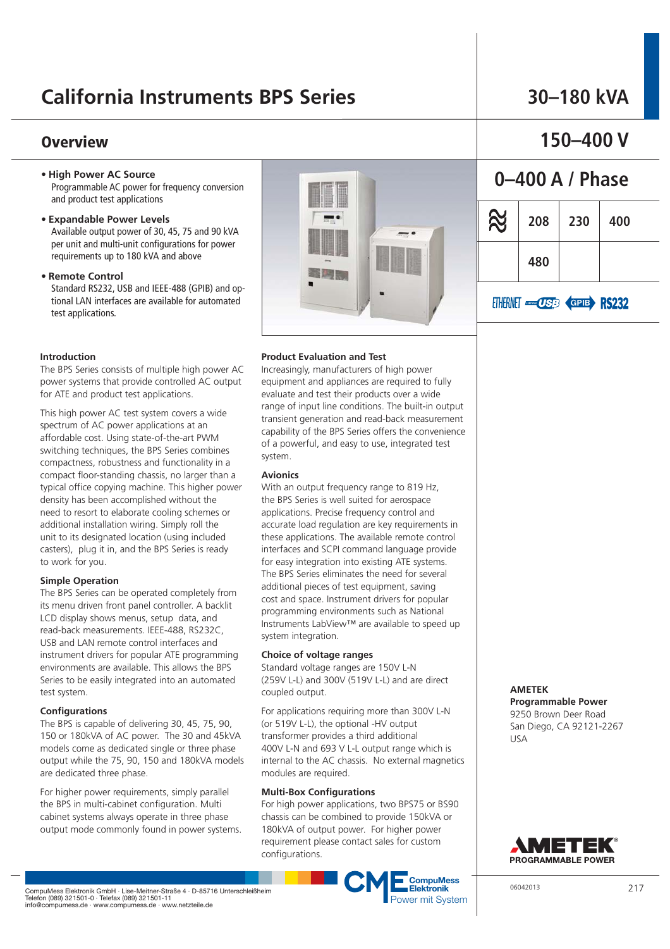## **California Instruments BPS Series**

### **Overview**

- **High Power AC Source** Programmable AC power for frequency conversion and product test applications
- **Expandable Power Levels** Available output power of 30, 45, 75 and 90 kVA per unit and multi-unit configurations for power requirements up to 180 kVA and above
- **Remote Control** Standard RS232, USB and IEEE-488 (GPIB) and optional LAN interfaces are available for automated test applications.

#### **Introduction**

The BPS Series consists of multiple high power AC power systems that provide controlled AC output for ATE and product test applications.

This high power AC test system covers a wide spectrum of AC power applications at an affordable cost. Using state-of-the-art PWM switching techniques, the BPS Series combines compactness, robustness and functionality in a compact floor-standing chassis, no larger than a typical office copying machine. This higher power density has been accomplished without the need to resort to elaborate cooling schemes or additional installation wiring. Simply roll the unit to its designated location (using included casters), plug it in, and the BPS Series is ready to work for you.

#### **Simple Operation**

The BPS Series can be operated completely from its menu driven front panel controller. A backlit LCD display shows menus, setup data, and read-back measurements. IEEE-488, RS232C, USB and LAN remote control interfaces and instrument drivers for popular ATE programming environments are available. This allows the BPS Series to be easily integrated into an automated test system.

#### **Configurations**

The BPS is capable of delivering 30, 45, 75, 90, 150 or 180kVA of AC power. The 30 and 45kVA models come as dedicated single or three phase output while the 75, 90, 150 and 180kVA models are dedicated three phase.

For higher power requirements, simply parallel the BPS in multi-cabinet configuration. Multi cabinet systems always operate in three phase output mode commonly found in power systems.



# **150–400 V**

**30–180 kVA**

# **0–400 A / Phase R 208 230 400 480** ETHERNET **CISE** GPIE RS232

### **Product Evaluation and Test**

Increasingly, manufacturers of high power equipment and appliances are required to fully evaluate and test their products over a wide range of input line conditions. The built-in output transient generation and read-back measurement capability of the BPS Series offers the convenience of a powerful, and easy to use, integrated test system.

#### **Avionics**

With an output frequency range to 819 Hz, the BPS Series is well suited for aerospace applications. Precise frequency control and accurate load regulation are key requirements in these applications. The available remote control interfaces and SCPI command language provide for easy integration into existing ATE systems. The BPS Series eliminates the need for several additional pieces of test equipment, saving cost and space. Instrument drivers for popular programming environments such as National Instruments LabView™ are available to speed up system integration.

#### **Choice of voltage ranges**

Standard voltage ranges are 150V L-N (259V L-L) and 300V (519V L-L) and are direct coupled output.

For applications requiring more than 300V L-N (or 519V L-L), the optional -HV output transformer provides a third additional 400V L-N and 693 V L-L output range which is internal to the AC chassis. No external magnetics modules are required.

#### **Multi-Box Configurations**

For high power applications, two BPS75 or BS90 chassis can be combined to provide 150kVA or 180kVA of output power. For higher power requirement please contact sales for custom configurations.



**AMETEK** 

USA

**Programmable Power**  9250 Brown Deer Road San Diego, CA 92121-2267

AMETEK PROGRAMMABLE POWER

CompuMess Elektronik GmbH · Lise-Meitner-Straße 4 · D-85716 Unterschleißheim<br>Telefon (089) 321501-0 · Telefax (089) 321501-11<br>info@compumess.de · www.compumess.de · www.netzteile.de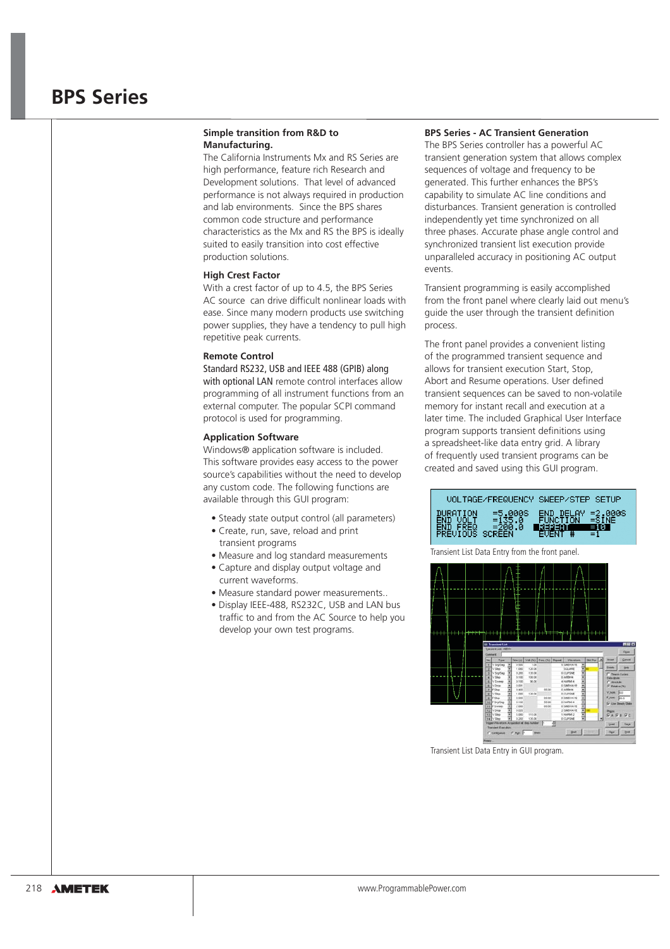### **BPS Series**

#### **Simple transition from R&D to Manufacturing.**

The California Instruments Mx and RS Series are high performance, feature rich Research and Development solutions. That level of advanced performance is not always required in production and lab environments. Since the BPS shares common code structure and performance characteristics as the Mx and RS the BPS is ideally suited to easily transition into cost effective production solutions.

#### **High Crest Factor**

With a crest factor of up to 4.5, the BPS Series AC source can drive difficult nonlinear loads with ease. Since many modern products use switching power supplies, they have a tendency to pull high repetitive peak currents.

#### **Remote Control**

Standard RS232, USB and IEEE 488 (GPIB) along with optional LAN remote control interfaces allow programming of all instrument functions from an external computer. The popular SCPI command protocol is used for programming.

#### **Application Software**

Windows® application software is included. This software provides easy access to the power source's capabilities without the need to develop any custom code. The following functions are available through this GUI program:

- Steady state output control (all parameters)
- Create, run, save, reload and print transient programs
- Measure and log standard measurements
- Capture and display output voltage and current waveforms.
- Measure standard power measurements...
- · Display IEEE-488, RS232C, USB and LAN bus traffic to and from the AC Source to help you develop your own test programs.

#### **BPS Series - AC Transient Generation**

The BPS Series controller has a powerful AC transient generation system that allows complex sequences of voltage and frequency to be generated. This further enhances the BPS's capability to simulate AC line conditions and disturbances. Transient generation is controlled independently yet time synchronized on all three phases. Accurate phase angle control and synchronized transient list execution provide unparalleled accuracy in positioning AC output events.

Transient programming is easily accomplished from the front panel where clearly laid out menu's guide the user through the transient definition process.

The front panel provides a convenient listing of the programmed transient sequence and allows for transient execution Start, Stop, Abort and Resume operations. User defined transient sequences can be saved to non-volatile memory for instant recall and execution at a later time. The included Graphical User Interface program supports transient definitions using a spreadsheet-like data entry grid. A library of frequently used transient programs can be created and saved using this GUI program.





Transient List Data Entry in GUI program.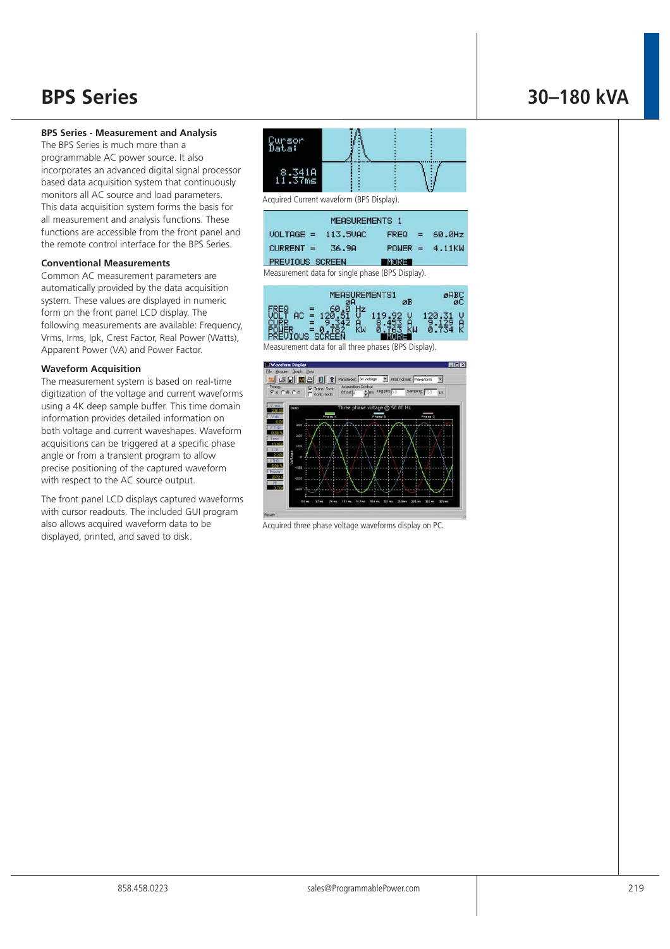### **BPS Series - Measurement and Analysis**

The BPS Series is much more than a programmable AC power source. It also incorporates an advanced digital signal processor based data acquisition system that continuously monitors all AC source and load parameters. This data acquisition system forms the basis for all measurement and analysis functions. These functions are accessible from the front panel and the remote control interface for the BPS Series.

#### **Conventional Measurements**

Common AC measurement parameters are automatically provided by the data acquisition system. These values are displayed in numeric form on the front panel LCD display. The following measurements are available: Frequency, Vrms, Irms, Ipk, Crest Factor, Real Power (Watts), Apparent Power (VA) and Power Factor.

#### **Waveform Acquisition**

The measurement system is based on real-time digitization of the voltage and current waveforms using a 4K deep sample buffer. This time domain information provides detailed information on both voltage and current waveshapes. Waveform acquisitions can be triggered at a specific phase angle or from a transient program to allow precise positioning of the captured waveform with respect to the AC source output.

The front panel LCD displays captured waveforms with cursor readouts. The included GUI program also allows acquired waveform data to be displayed, printed, and saved to disk.



Acquired Current waveform (BPS Display).

| MEASUREMENTS 1  |          |              |  |                  |  |  |  |  |  |
|-----------------|----------|--------------|--|------------------|--|--|--|--|--|
| $UOLTAGE =$     | 113,5VAC |              |  | $FREG = 60.0Hz$  |  |  |  |  |  |
| $CURRENT =$     | 36.9A    |              |  | $POWER = 4.11KW$ |  |  |  |  |  |
| PREVIOUS SCREEN |          | <b>INORE</b> |  |                  |  |  |  |  |  |
|                 | .        |              |  |                  |  |  |  |  |  |

Measurement data for single phase (BPS Display).

| MEASUREMENTS1 | аB |  |
|---------------|----|--|
|               |    |  |
|               |    |  |

Measurement data for all three phases (BPS Display).



Acquired three phase voltage waveforms display on PC.

### **BPS Series 30–180 kVA**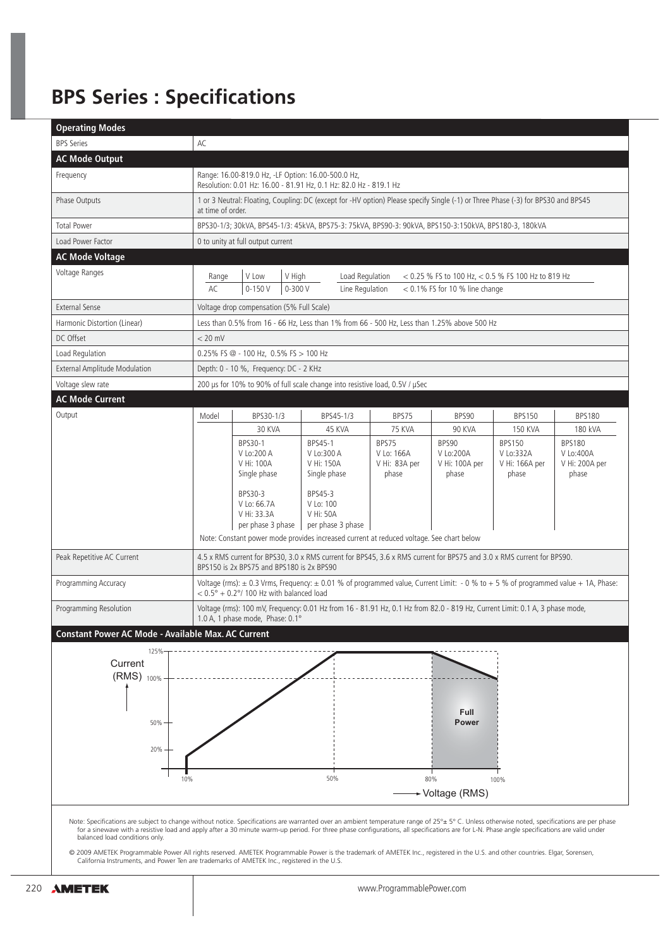# **BPS Series : Specifications**

| <b>Operating Modes</b>                             |             |                                                                                                                                                                                                 |                                                                             |                                               |                                               |                                                       |                                                       |  |  |  |
|----------------------------------------------------|-------------|-------------------------------------------------------------------------------------------------------------------------------------------------------------------------------------------------|-----------------------------------------------------------------------------|-----------------------------------------------|-----------------------------------------------|-------------------------------------------------------|-------------------------------------------------------|--|--|--|
| <b>BPS Series</b>                                  | AC          |                                                                                                                                                                                                 |                                                                             |                                               |                                               |                                                       |                                                       |  |  |  |
| <b>AC Mode Output</b>                              |             |                                                                                                                                                                                                 |                                                                             |                                               |                                               |                                                       |                                                       |  |  |  |
| Frequency                                          |             | Range: 16.00-819.0 Hz, -LF Option: 16.00-500.0 Hz,<br>Resolution: 0.01 Hz: 16.00 - 81.91 Hz, 0.1 Hz: 82.0 Hz - 819.1 Hz                                                                         |                                                                             |                                               |                                               |                                                       |                                                       |  |  |  |
| Phase Outputs                                      |             | 1 or 3 Neutral: Floating, Coupling: DC (except for -HV option) Please specify Single (-1) or Three Phase (-3) for BPS30 and BPS45<br>at time of order.                                          |                                                                             |                                               |                                               |                                                       |                                                       |  |  |  |
| <b>Total Power</b>                                 |             | BPS30-1/3; 30kVA, BPS45-1/3: 45kVA, BPS75-3: 75kVA, BPS90-3: 90kVA, BPS150-3:150kVA, BPS180-3, 180kVA                                                                                           |                                                                             |                                               |                                               |                                                       |                                                       |  |  |  |
| Load Power Factor                                  |             | 0 to unity at full output current                                                                                                                                                               |                                                                             |                                               |                                               |                                                       |                                                       |  |  |  |
| <b>AC Mode Voltage</b>                             |             |                                                                                                                                                                                                 |                                                                             |                                               |                                               |                                                       |                                                       |  |  |  |
| Voltage Ranges                                     | Range<br>AC | V Low<br>V High<br>Load Regulation<br>< 0.25 % FS to 100 Hz, < 0.5 % FS 100 Hz to 819 Hz<br>$0 - 150V$<br>$0 - 300V$<br>Line Regulation<br>$<$ 0.1% FS for 10 % line change                     |                                                                             |                                               |                                               |                                                       |                                                       |  |  |  |
| <b>External Sense</b>                              |             | Voltage drop compensation (5% Full Scale)                                                                                                                                                       |                                                                             |                                               |                                               |                                                       |                                                       |  |  |  |
| Harmonic Distortion (Linear)                       |             | Less than 0.5% from 16 - 66 Hz, Less than 1% from 66 - 500 Hz, Less than 1.25% above 500 Hz                                                                                                     |                                                                             |                                               |                                               |                                                       |                                                       |  |  |  |
| DC Offset                                          | $< 20$ mV   |                                                                                                                                                                                                 |                                                                             |                                               |                                               |                                                       |                                                       |  |  |  |
| Load Regulation                                    |             | 0.25% FS @ - 100 Hz, 0.5% FS > 100 Hz                                                                                                                                                           |                                                                             |                                               |                                               |                                                       |                                                       |  |  |  |
| <b>External Amplitude Modulation</b>               |             | Depth: 0 - 10 %, Frequency: DC - 2 KHz                                                                                                                                                          |                                                                             |                                               |                                               |                                                       |                                                       |  |  |  |
| Voltage slew rate                                  |             | 200 µs for 10% to 90% of full scale change into resistive load, 0.5V / µSec                                                                                                                     |                                                                             |                                               |                                               |                                                       |                                                       |  |  |  |
| <b>AC Mode Current</b>                             |             |                                                                                                                                                                                                 |                                                                             |                                               |                                               |                                                       |                                                       |  |  |  |
| Output                                             | Model       | BPS30-1/3                                                                                                                                                                                       | BPS45-1/3                                                                   | BPS75                                         | BPS90                                         | <b>BPS150</b>                                         | <b>BPS180</b>                                         |  |  |  |
|                                                    |             | 30 KVA                                                                                                                                                                                          | 45 KVA                                                                      | <b>75 KVA</b>                                 | 90 KVA                                        | <b>150 KVA</b>                                        | 180 kVA                                               |  |  |  |
|                                                    |             | BPS30-1<br>V Lo:200 A<br>V Hi: 100A<br>Single phase<br>BPS30-3<br>V Lo: 66.7A                                                                                                                   | BPS45-1<br>V Lo:300 A<br>V Hi: 150A<br>Single phase<br>BPS45-3<br>V Lo: 100 | BPS75<br>V Lo: 166A<br>V Hi: 83A per<br>phase | BPS90<br>V Lo:200A<br>V Hi: 100A per<br>phase | <b>BPS150</b><br>V Lo:332A<br>V Hi: 166A per<br>phase | <b>BPS180</b><br>V Lo:400A<br>V Hi: 200A per<br>phase |  |  |  |
|                                                    |             | V Hi: 33.3A<br>per phase 3 phase<br>Note: Constant power mode provides increased current at reduced voltage. See chart below                                                                    | V Hi: 50A<br>per phase 3 phase                                              |                                               |                                               |                                                       |                                                       |  |  |  |
| Peak Repetitive AC Current                         |             | 4.5 x RMS current for BPS30, 3.0 x RMS current for BPS45, 3.6 x RMS current for BPS75 and 3.0 x RMS current for BPS90.<br>BPS150 is 2x BPS75 and BPS180 is 2x BPS90                             |                                                                             |                                               |                                               |                                                       |                                                       |  |  |  |
| Programming Accuracy                               |             | Voltage (rms): ± 0.3 Vrms, Frequency: ± 0.01 % of programmed value, Current Limit: - 0 % to + 5 % of programmed value + 1A, Phase:<br>$< 0.5^{\circ} + 0.2^{\circ}$ / 100 Hz with balanced load |                                                                             |                                               |                                               |                                                       |                                                       |  |  |  |
| Programming Resolution                             |             | Voltage (rms): 100 mV, Frequency: 0.01 Hz from 16 - 81.91 Hz, 0.1 Hz from 82.0 - 819 Hz, Current Limit: 0.1 A, 3 phase mode,<br>1.0 A, 1 phase mode, Phase: 0.1°                                |                                                                             |                                               |                                               |                                                       |                                                       |  |  |  |
| Constant Power AC Mode - Available Max. AC Current |             |                                                                                                                                                                                                 |                                                                             |                                               |                                               |                                                       |                                                       |  |  |  |
| 125%                                               |             |                                                                                                                                                                                                 |                                                                             |                                               |                                               |                                                       |                                                       |  |  |  |
| Current                                            |             |                                                                                                                                                                                                 |                                                                             |                                               |                                               |                                                       |                                                       |  |  |  |
| (RMS) 100%                                         |             |                                                                                                                                                                                                 |                                                                             |                                               |                                               |                                                       |                                                       |  |  |  |
|                                                    |             |                                                                                                                                                                                                 |                                                                             |                                               |                                               |                                                       |                                                       |  |  |  |
| 50%                                                |             |                                                                                                                                                                                                 |                                                                             |                                               | Full<br><b>Power</b>                          |                                                       |                                                       |  |  |  |
|                                                    |             |                                                                                                                                                                                                 |                                                                             |                                               |                                               |                                                       |                                                       |  |  |  |
| 20%                                                |             |                                                                                                                                                                                                 |                                                                             |                                               |                                               |                                                       |                                                       |  |  |  |
|                                                    |             |                                                                                                                                                                                                 |                                                                             |                                               |                                               |                                                       |                                                       |  |  |  |
|                                                    |             |                                                                                                                                                                                                 |                                                                             |                                               |                                               |                                                       |                                                       |  |  |  |
|                                                    | 10%         |                                                                                                                                                                                                 | 50%                                                                         |                                               | 80%                                           | 100%                                                  |                                                       |  |  |  |

© 2009 AMETEK Programmable Power All rights reserved. AMETEK Programmable Power is the trademark of AMETEK Inc., registered in the U.S. and other countries. Elgar, Sorensen,<br>California Instruments, and Power Ten are tradem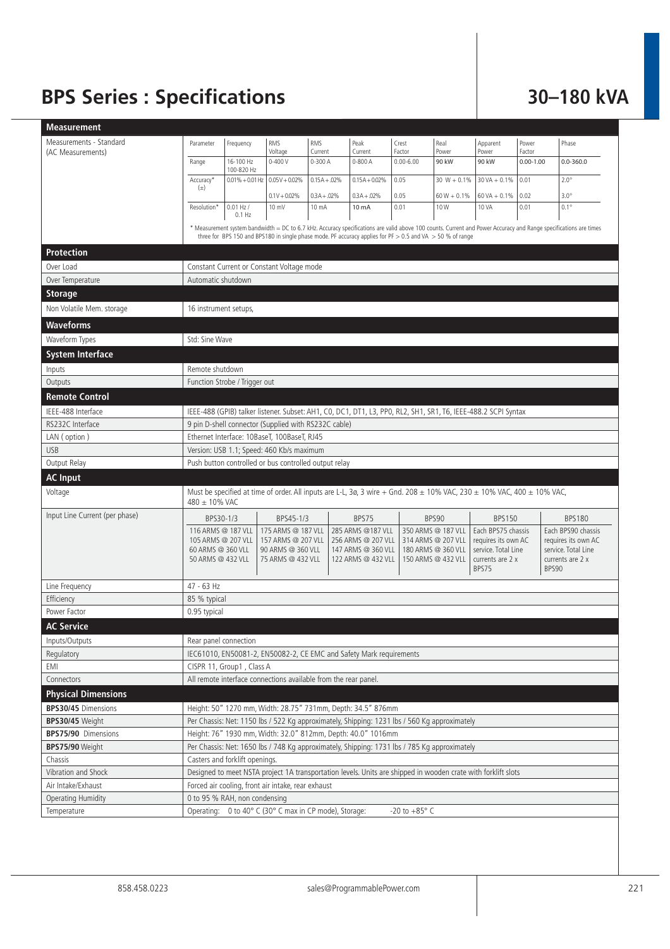# **BPS Series : Specifications 30–180 kVA**

| <b>Measurement</b>             |                                                                                                                                                                                                                                                                                     |                                |                                                                                    |                    |                                                                                              |                         |                                                                                      |                                                                                               |                         |                                                                                               |
|--------------------------------|-------------------------------------------------------------------------------------------------------------------------------------------------------------------------------------------------------------------------------------------------------------------------------------|--------------------------------|------------------------------------------------------------------------------------|--------------------|----------------------------------------------------------------------------------------------|-------------------------|--------------------------------------------------------------------------------------|-----------------------------------------------------------------------------------------------|-------------------------|-----------------------------------------------------------------------------------------------|
| Measurements - Standard        | Parameter                                                                                                                                                                                                                                                                           | Frequency                      | RMS                                                                                | <b>RMS</b>         | Peak                                                                                         | Crest                   | Real                                                                                 | Apparent                                                                                      | Power                   | Phase                                                                                         |
| (AC Measurements)              | Range                                                                                                                                                                                                                                                                               | 16-100 Hz                      | Voltage<br>$0 - 400V$                                                              | Current<br>0-300 A | Current<br>$0 - 800A$                                                                        | Factor<br>$0.00 - 6.00$ | Power<br>90 kW                                                                       | Power<br>90 kW                                                                                | Factor<br>$0.00 - 1.00$ | $0.0 - 360.0$                                                                                 |
|                                | Accuracy*                                                                                                                                                                                                                                                                           | 100-820 Hz                     | $0.01\% + 0.01$ Hz $0.05$ V + 0.02%                                                | $0.15A + 0.02%$    | $0.15A + 0.02\%$                                                                             | 0.05                    | $30 W + 0.1%$                                                                        | $30 VA + 0.1%$                                                                                | 0.01                    | $2.0^\circ$                                                                                   |
|                                | $(\pm)$                                                                                                                                                                                                                                                                             |                                | $0.1V + 0.02\%$                                                                    | $0.3A + 0.02%$     | $0.3A + 0.02%$                                                                               | 0.05                    | $60 W + 0.1%$                                                                        | $60 VA + 0.1%$                                                                                | 0.02                    | $3.0^\circ$                                                                                   |
|                                | Resolution*                                                                                                                                                                                                                                                                         | $0.01$ Hz $/$                  | 10 mV                                                                              | 10 mA              | 10 mA                                                                                        | 0.01                    | 10W                                                                                  | 10 VA                                                                                         | 0.01                    | $0.1^\circ$                                                                                   |
|                                |                                                                                                                                                                                                                                                                                     | $0.1$ Hz                       |                                                                                    |                    |                                                                                              |                         |                                                                                      |                                                                                               |                         |                                                                                               |
|                                | * Measurement system bandwidth = DC to 6.7 kHz. Accuracy specifications are valid above 100 counts. Current and Power Accuracy and Range specifications are times<br>three for BPS 150 and BPS180 in single phase mode. PF accuracy applies for PF $>$ 0.5 and VA $>$ 50 % of range |                                |                                                                                    |                    |                                                                                              |                         |                                                                                      |                                                                                               |                         |                                                                                               |
| Protection                     |                                                                                                                                                                                                                                                                                     |                                |                                                                                    |                    |                                                                                              |                         |                                                                                      |                                                                                               |                         |                                                                                               |
| Over Load                      |                                                                                                                                                                                                                                                                                     |                                | Constant Current or Constant Voltage mode                                          |                    |                                                                                              |                         |                                                                                      |                                                                                               |                         |                                                                                               |
| Over Temperature               | Automatic shutdown                                                                                                                                                                                                                                                                  |                                |                                                                                    |                    |                                                                                              |                         |                                                                                      |                                                                                               |                         |                                                                                               |
| <b>Storage</b>                 |                                                                                                                                                                                                                                                                                     |                                |                                                                                    |                    |                                                                                              |                         |                                                                                      |                                                                                               |                         |                                                                                               |
| Non Volatile Mem. storage      | 16 instrument setups,                                                                                                                                                                                                                                                               |                                |                                                                                    |                    |                                                                                              |                         |                                                                                      |                                                                                               |                         |                                                                                               |
| Waveforms                      |                                                                                                                                                                                                                                                                                     |                                |                                                                                    |                    |                                                                                              |                         |                                                                                      |                                                                                               |                         |                                                                                               |
| Waveform Types                 | Std: Sine Wave                                                                                                                                                                                                                                                                      |                                |                                                                                    |                    |                                                                                              |                         |                                                                                      |                                                                                               |                         |                                                                                               |
| <b>System Interface</b>        |                                                                                                                                                                                                                                                                                     |                                |                                                                                    |                    |                                                                                              |                         |                                                                                      |                                                                                               |                         |                                                                                               |
| Inputs                         | Remote shutdown                                                                                                                                                                                                                                                                     |                                |                                                                                    |                    |                                                                                              |                         |                                                                                      |                                                                                               |                         |                                                                                               |
| Outputs                        |                                                                                                                                                                                                                                                                                     | Function Strobe / Trigger out  |                                                                                    |                    |                                                                                              |                         |                                                                                      |                                                                                               |                         |                                                                                               |
| <b>Remote Control</b>          |                                                                                                                                                                                                                                                                                     |                                |                                                                                    |                    |                                                                                              |                         |                                                                                      |                                                                                               |                         |                                                                                               |
| IEEE-488 Interface             |                                                                                                                                                                                                                                                                                     |                                |                                                                                    |                    |                                                                                              |                         |                                                                                      |                                                                                               |                         |                                                                                               |
| RS232C Interface               | IEEE-488 (GPIB) talker listener. Subset: AH1, C0, DC1, DT1, L3, PP0, RL2, SH1, SR1, T6, IEEE-488.2 SCPI Syntax<br>9 pin D-shell connector (Supplied with RS232C cable)                                                                                                              |                                |                                                                                    |                    |                                                                                              |                         |                                                                                      |                                                                                               |                         |                                                                                               |
| LAN (option)                   | Ethernet Interface: 10BaseT, 100BaseT, RJ45                                                                                                                                                                                                                                         |                                |                                                                                    |                    |                                                                                              |                         |                                                                                      |                                                                                               |                         |                                                                                               |
| <b>USB</b>                     | Version: USB 1.1; Speed: 460 Kb/s maximum                                                                                                                                                                                                                                           |                                |                                                                                    |                    |                                                                                              |                         |                                                                                      |                                                                                               |                         |                                                                                               |
| Output Relay                   | Push button controlled or bus controlled output relay                                                                                                                                                                                                                               |                                |                                                                                    |                    |                                                                                              |                         |                                                                                      |                                                                                               |                         |                                                                                               |
| <b>AC Input</b>                |                                                                                                                                                                                                                                                                                     |                                |                                                                                    |                    |                                                                                              |                         |                                                                                      |                                                                                               |                         |                                                                                               |
| Voltage                        | Must be specified at time of order. All inputs are L-L, 3ø, 3 wire + Gnd. 208 $\pm$ 10% VAC, 230 $\pm$ 10% VAC, 400 $\pm$ 10% VAC,<br>480 $\pm$ 10% VAC                                                                                                                             |                                |                                                                                    |                    |                                                                                              |                         |                                                                                      |                                                                                               |                         |                                                                                               |
| Input Line Current (per phase) | BPS30-1/3                                                                                                                                                                                                                                                                           |                                | BPS45-1/3                                                                          |                    | BPS75                                                                                        |                         | BPS90                                                                                | <b>BPS150</b>                                                                                 |                         | <b>BPS180</b>                                                                                 |
|                                | 116 ARMS @ 187 VLL<br>105 ARMS @ 207 VLL<br>60 ARMS @ 360 VLL<br>50 ARMS @ 432 VLL                                                                                                                                                                                                  |                                | 175 ARMS @ 187 VLL<br>157 ARMS @ 207 VLL<br>90 ARMS @ 360 VLL<br>75 ARMS @ 432 VLL |                    | 285 ARMS @187 VLL<br>256 ARMS @ 207 VLL<br>147 ARMS @ 360 VLL<br>122 ARMS @ 432 VLL          |                         | 350 ARMS @ 187 VLL<br>314 ARMS @ 207 VLL<br>180 ARMS @ 360 VLL<br>150 ARMS @ 432 VLL | Each BPS75 chassis<br>requires its own AC<br>service. Total Line<br>currents are 2 x<br>BPS75 |                         | Each BPS90 chassis<br>requires its own AC<br>service. Total Line<br>currents are 2 x<br>BPS90 |
| Line Frequency                 | 47 - 63 Hz                                                                                                                                                                                                                                                                          |                                |                                                                                    |                    |                                                                                              |                         |                                                                                      |                                                                                               |                         |                                                                                               |
| Efficiency                     | 85 % typical                                                                                                                                                                                                                                                                        |                                |                                                                                    |                    |                                                                                              |                         |                                                                                      |                                                                                               |                         |                                                                                               |
| Power Factor                   | 0.95 typical                                                                                                                                                                                                                                                                        |                                |                                                                                    |                    |                                                                                              |                         |                                                                                      |                                                                                               |                         |                                                                                               |
| <b>AC Service</b>              |                                                                                                                                                                                                                                                                                     |                                |                                                                                    |                    |                                                                                              |                         |                                                                                      |                                                                                               |                         |                                                                                               |
| Inputs/Outputs                 | Rear panel connection                                                                                                                                                                                                                                                               |                                |                                                                                    |                    |                                                                                              |                         |                                                                                      |                                                                                               |                         |                                                                                               |
| Regulatory                     | IEC61010, EN50081-2, EN50082-2, CE EMC and Safety Mark requirements                                                                                                                                                                                                                 |                                |                                                                                    |                    |                                                                                              |                         |                                                                                      |                                                                                               |                         |                                                                                               |
| EMI                            | CISPR 11, Group1, Class A                                                                                                                                                                                                                                                           |                                |                                                                                    |                    |                                                                                              |                         |                                                                                      |                                                                                               |                         |                                                                                               |
| Connectors                     |                                                                                                                                                                                                                                                                                     |                                | All remote interface connections available from the rear panel.                    |                    |                                                                                              |                         |                                                                                      |                                                                                               |                         |                                                                                               |
| <b>Physical Dimensions</b>     |                                                                                                                                                                                                                                                                                     |                                |                                                                                    |                    |                                                                                              |                         |                                                                                      |                                                                                               |                         |                                                                                               |
| <b>BPS30/45</b> Dimensions     |                                                                                                                                                                                                                                                                                     |                                |                                                                                    |                    | Height: 50" 1270 mm, Width: 28.75" 731mm, Depth: 34.5" 876mm                                 |                         |                                                                                      |                                                                                               |                         |                                                                                               |
| BPS30/45 Weight                |                                                                                                                                                                                                                                                                                     |                                |                                                                                    |                    | Per Chassis: Net: 1150 lbs / 522 Kg approximately, Shipping: 1231 lbs / 560 Kg approximately |                         |                                                                                      |                                                                                               |                         |                                                                                               |
| <b>BPS75/90</b> Dimensions     | Height: 76" 1930 mm, Width: 32.0" 812mm, Depth: 40.0" 1016mm                                                                                                                                                                                                                        |                                |                                                                                    |                    |                                                                                              |                         |                                                                                      |                                                                                               |                         |                                                                                               |
| BPS75/90 Weight                |                                                                                                                                                                                                                                                                                     |                                |                                                                                    |                    | Per Chassis: Net: 1650 lbs / 748 Kg approximately, Shipping: 1731 lbs / 785 Kg approximately |                         |                                                                                      |                                                                                               |                         |                                                                                               |
| Chassis                        |                                                                                                                                                                                                                                                                                     | Casters and forklift openings. |                                                                                    |                    |                                                                                              |                         |                                                                                      |                                                                                               |                         |                                                                                               |
| Vibration and Shock            | Designed to meet NSTA project 1A transportation levels. Units are shipped in wooden crate with forklift slots                                                                                                                                                                       |                                |                                                                                    |                    |                                                                                              |                         |                                                                                      |                                                                                               |                         |                                                                                               |
| Air Intake/Exhaust             | Forced air cooling, front air intake, rear exhaust                                                                                                                                                                                                                                  |                                |                                                                                    |                    |                                                                                              |                         |                                                                                      |                                                                                               |                         |                                                                                               |
| <b>Operating Humidity</b>      | 0 to 95 % RAH, non condensing                                                                                                                                                                                                                                                       |                                |                                                                                    |                    |                                                                                              |                         |                                                                                      |                                                                                               |                         |                                                                                               |
| Temperature                    | Operating: 0 to 40° C (30° C max in CP mode), Storage:<br>$-20$ to $+85^{\circ}$ C                                                                                                                                                                                                  |                                |                                                                                    |                    |                                                                                              |                         |                                                                                      |                                                                                               |                         |                                                                                               |